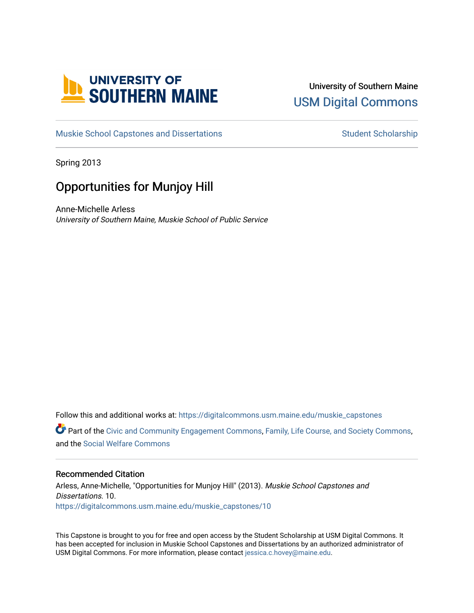

# University of Southern Maine [USM Digital Commons](https://digitalcommons.usm.maine.edu/)

[Muskie School Capstones and Dissertations](https://digitalcommons.usm.maine.edu/muskie_capstones) [Student Scholarship](https://digitalcommons.usm.maine.edu/students) Student Scholarship

Spring 2013

# Opportunities for Munjoy Hill

Anne-Michelle Arless University of Southern Maine, Muskie School of Public Service

Follow this and additional works at: [https://digitalcommons.usm.maine.edu/muskie\\_capstones](https://digitalcommons.usm.maine.edu/muskie_capstones?utm_source=digitalcommons.usm.maine.edu%2Fmuskie_capstones%2F10&utm_medium=PDF&utm_campaign=PDFCoverPages)  Part of the [Civic and Community Engagement Commons](http://network.bepress.com/hgg/discipline/1028?utm_source=digitalcommons.usm.maine.edu%2Fmuskie_capstones%2F10&utm_medium=PDF&utm_campaign=PDFCoverPages), [Family, Life Course, and Society Commons](http://network.bepress.com/hgg/discipline/419?utm_source=digitalcommons.usm.maine.edu%2Fmuskie_capstones%2F10&utm_medium=PDF&utm_campaign=PDFCoverPages), and the [Social Welfare Commons](http://network.bepress.com/hgg/discipline/401?utm_source=digitalcommons.usm.maine.edu%2Fmuskie_capstones%2F10&utm_medium=PDF&utm_campaign=PDFCoverPages) 

#### Recommended Citation

Arless, Anne-Michelle, "Opportunities for Munjoy Hill" (2013). Muskie School Capstones and Dissertations. 10. [https://digitalcommons.usm.maine.edu/muskie\\_capstones/10](https://digitalcommons.usm.maine.edu/muskie_capstones/10?utm_source=digitalcommons.usm.maine.edu%2Fmuskie_capstones%2F10&utm_medium=PDF&utm_campaign=PDFCoverPages)

This Capstone is brought to you for free and open access by the Student Scholarship at USM Digital Commons. It has been accepted for inclusion in Muskie School Capstones and Dissertations by an authorized administrator of USM Digital Commons. For more information, please contact [jessica.c.hovey@maine.edu](mailto:ian.fowler@maine.edu).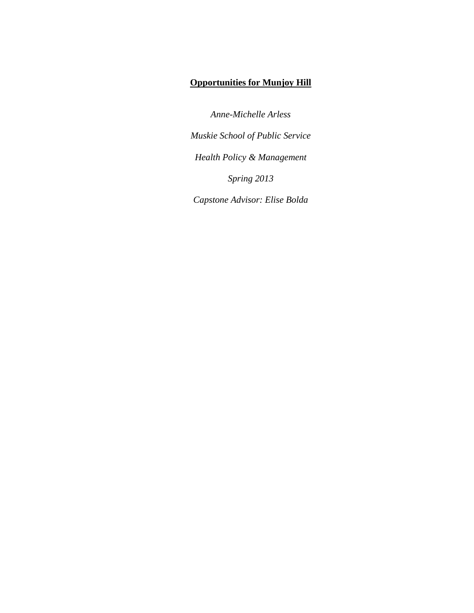# **Opportunities for Munjoy Hill**

*Anne-Michelle Arless Muskie School of Public Service Health Policy & Management Spring 2013 Capstone Advisor: Elise Bolda*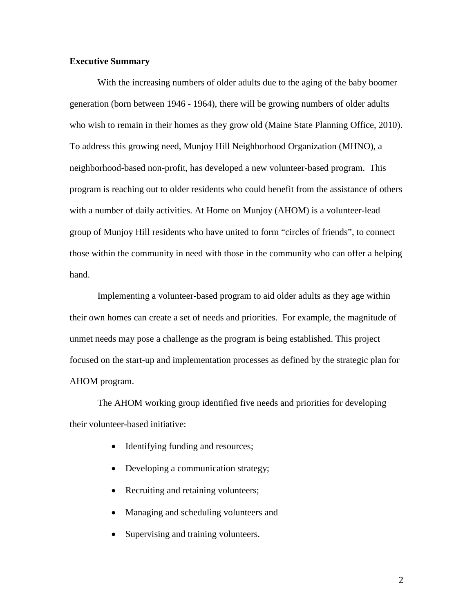### **Executive Summary**

With the increasing numbers of older adults due to the aging of the baby boomer generation (born between 1946 - 1964), there will be growing numbers of older adults who wish to remain in their homes as they grow old (Maine State Planning Office, 2010). To address this growing need, Munjoy Hill Neighborhood Organization (MHNO), a neighborhood-based non-profit, has developed a new volunteer-based program. This program is reaching out to older residents who could benefit from the assistance of others with a number of daily activities. At Home on Munjoy (AHOM) is a volunteer-lead group of Munjoy Hill residents who have united to form "circles of friends", to connect those within the community in need with those in the community who can offer a helping hand.

Implementing a volunteer-based program to aid older adults as they age within their own homes can create a set of needs and priorities. For example, the magnitude of unmet needs may pose a challenge as the program is being established. This project focused on the start-up and implementation processes as defined by the strategic plan for AHOM program.

The AHOM working group identified five needs and priorities for developing their volunteer-based initiative:

- Identifying funding and resources;
- Developing a communication strategy;
- Recruiting and retaining volunteers;
- Managing and scheduling volunteers and
- Supervising and training volunteers.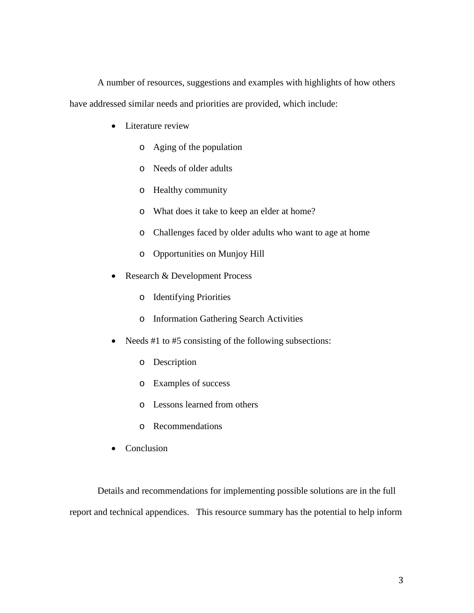A number of resources, suggestions and examples with highlights of how others

have addressed similar needs and priorities are provided, which include:

- Literature review
	- o Aging of the population
	- o Needs of older adults
	- o Healthy community
	- o What does it take to keep an elder at home?
	- o Challenges faced by older adults who want to age at home
	- o Opportunities on Munjoy Hill
- Research & Development Process
	- o Identifying Priorities
	- o Information Gathering Search Activities
- Needs #1 to #5 consisting of the following subsections:
	- o Description
	- o Examples of success
	- o Lessons learned from others
	- o Recommendations
- Conclusion

Details and recommendations for implementing possible solutions are in the full report and technical appendices. This resource summary has the potential to help inform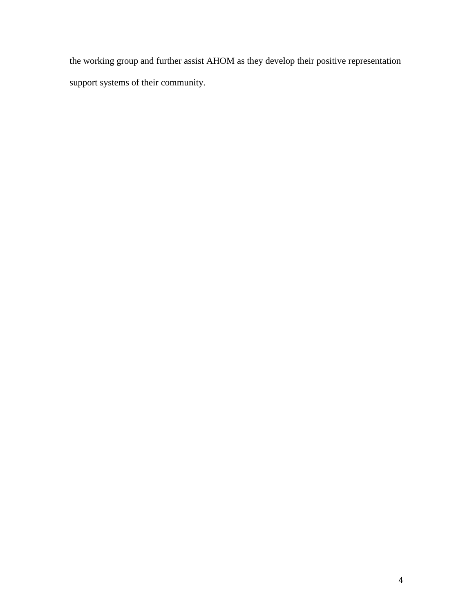the working group and further assist AHOM as they develop their positive representation support systems of their community.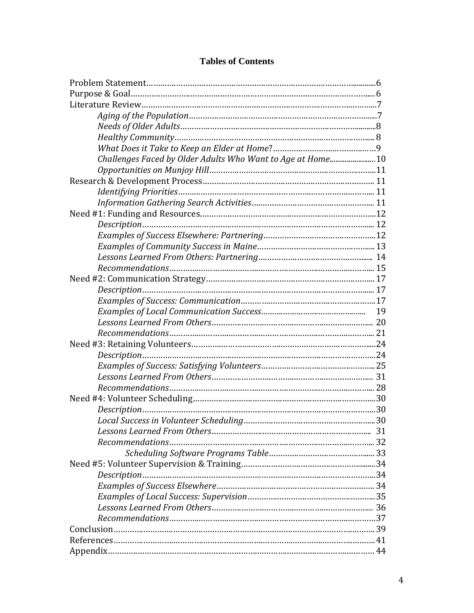| Challenges Faced by Older Adults Who Want to Age at Home 10 |  |
|-------------------------------------------------------------|--|
|                                                             |  |
|                                                             |  |
|                                                             |  |
|                                                             |  |
|                                                             |  |
|                                                             |  |
|                                                             |  |
|                                                             |  |
|                                                             |  |
|                                                             |  |
|                                                             |  |
|                                                             |  |
|                                                             |  |
|                                                             |  |
|                                                             |  |
|                                                             |  |
|                                                             |  |
|                                                             |  |
|                                                             |  |
|                                                             |  |
|                                                             |  |
|                                                             |  |
|                                                             |  |
|                                                             |  |
|                                                             |  |
|                                                             |  |
|                                                             |  |
|                                                             |  |
|                                                             |  |
|                                                             |  |
|                                                             |  |
|                                                             |  |
|                                                             |  |
|                                                             |  |
|                                                             |  |
|                                                             |  |

# **Tables of Contents**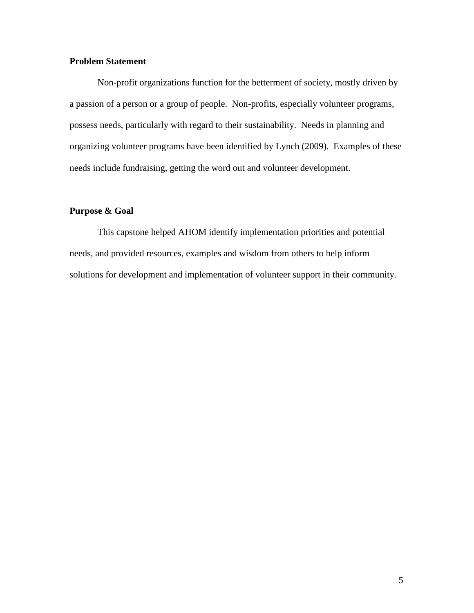# **Problem Statement**

Non-profit organizations function for the betterment of society, mostly driven by a passion of a person or a group of people. Non-profits, especially volunteer programs, possess needs, particularly with regard to their sustainability. Needs in planning and organizing volunteer programs have been identified by Lynch (2009). Examples of these needs include fundraising, getting the word out and volunteer development.

# **Purpose & Goal**

This capstone helped AHOM identify implementation priorities and potential needs, and provided resources, examples and wisdom from others to help inform solutions for development and implementation of volunteer support in their community.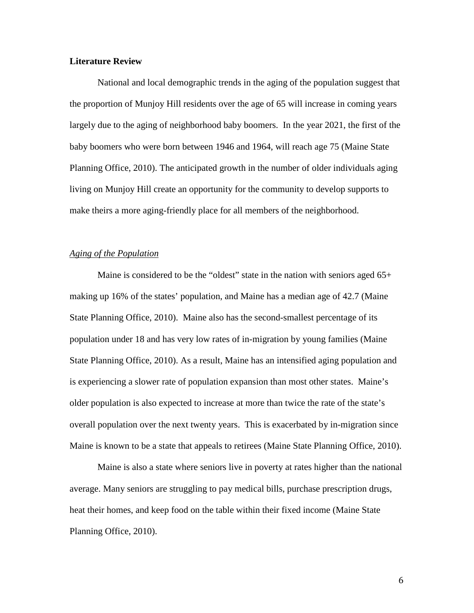#### **Literature Review**

National and local demographic trends in the aging of the population suggest that the proportion of Munjoy Hill residents over the age of 65 will increase in coming years largely due to the aging of neighborhood baby boomers. In the year 2021, the first of the baby boomers who were born between 1946 and 1964, will reach age 75 (Maine State Planning Office, 2010). The anticipated growth in the number of older individuals aging living on Munjoy Hill create an opportunity for the community to develop supports to make theirs a more aging-friendly place for all members of the neighborhood.

#### *Aging of the Population*

Maine is considered to be the "oldest" state in the nation with seniors aged 65+ making up 16% of the states' population, and Maine has a median age of 42.7 (Maine State Planning Office, 2010). Maine also has the second-smallest percentage of its population under 18 and has very low rates of in-migration by young families (Maine State Planning Office, 2010). As a result, Maine has an intensified aging population and is experiencing a slower rate of population expansion than most other states. Maine's older population is also expected to increase at more than twice the rate of the state's overall population over the next twenty years. This is exacerbated by in-migration since Maine is known to be a state that appeals to retirees (Maine State Planning Office, 2010).

Maine is also a state where seniors live in poverty at rates higher than the national average. Many seniors are struggling to pay medical bills, purchase prescription drugs, heat their homes, and keep food on the table within their fixed income (Maine State Planning Office, 2010).

6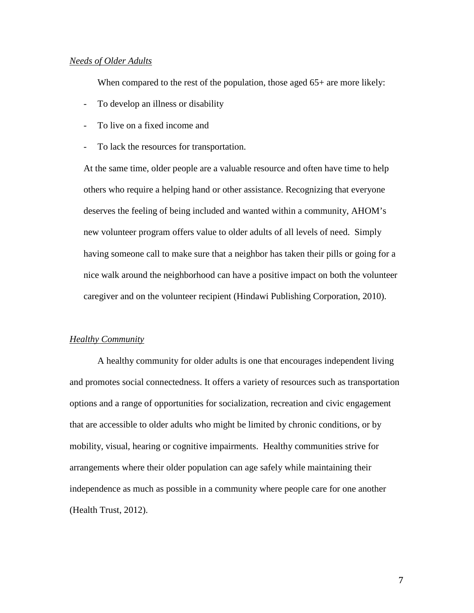#### *Needs of Older Adults*

When compared to the rest of the population, those aged  $65+$  are more likely:

- To develop an illness or disability
- To live on a fixed income and
- To lack the resources for transportation.

At the same time, older people are a valuable resource and often have time to help others who require a helping hand or other assistance. Recognizing that everyone deserves the feeling of being included and wanted within a community, AHOM's new volunteer program offers value to older adults of all levels of need. Simply having someone call to make sure that a neighbor has taken their pills or going for a nice walk around the neighborhood can have a positive impact on both the volunteer caregiver and on the volunteer recipient (Hindawi Publishing Corporation, 2010).

#### *Healthy Community*

A healthy community for older adults is one that encourages independent living and promotes social connectedness. It offers a variety of resources such as transportation options and a range of opportunities for socialization, recreation and civic engagement that are accessible to older adults who might be limited by chronic conditions, or by mobility, visual, hearing or cognitive impairments. Healthy communities strive for arrangements where their older population can age safely while maintaining their independence as much as possible in a community where people care for one another (Health Trust, 2012).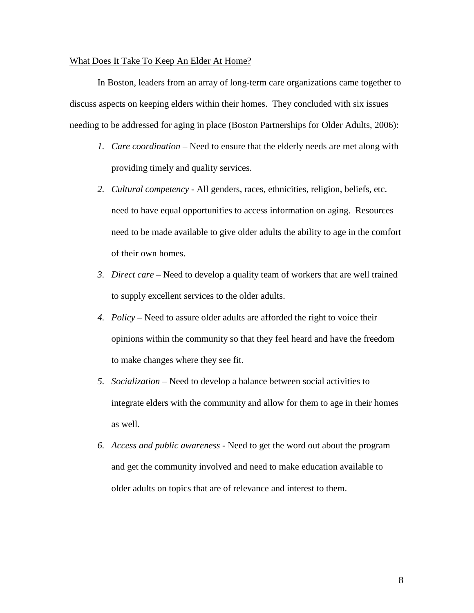#### What Does It Take To Keep An Elder At Home?

In Boston, leaders from an array of long-term care organizations came together to discuss aspects on keeping elders within their homes. They concluded with six issues needing to be addressed for aging in place (Boston Partnerships for Older Adults, 2006):

- *1. Care coordination –* Need to ensure that the elderly needs are met along with providing timely and quality services.
- *2. Cultural competency* All genders, races, ethnicities, religion, beliefs, etc. need to have equal opportunities to access information on aging. Resources need to be made available to give older adults the ability to age in the comfort of their own homes.
- *3. Direct care –* Need to develop a quality team of workers that are well trained to supply excellent services to the older adults.
- *4. Policy* Need to assure older adults are afforded the right to voice their opinions within the community so that they feel heard and have the freedom to make changes where they see fit.
- *5. Socialization* Need to develop a balance between social activities to integrate elders with the community and allow for them to age in their homes as well.
- *6. Access and public awareness -* Need to get the word out about the program and get the community involved and need to make education available to older adults on topics that are of relevance and interest to them.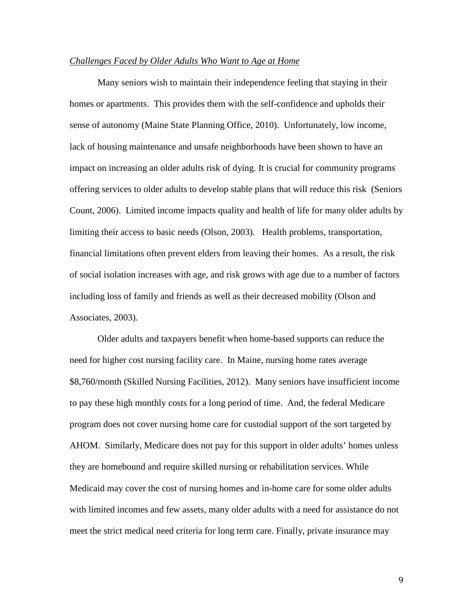#### *Challenges Faced by Older Adults Who Want to Age at Home*

Many seniors wish to maintain their independence feeling that staying in their homes or apartments. This provides them with the self-confidence and upholds their sense of autonomy (Maine State Planning Office, 2010). Unfortunately, low income, lack of housing maintenance and unsafe neighborhoods have been shown to have an impact on increasing an older adults risk of dying. It is crucial for community programs offering services to older adults to develop stable plans that will reduce this risk (Seniors Count, 2006). Limited income impacts quality and health of life for many older adults by limiting their access to basic needs (Olson, 2003). Health problems, transportation, financial limitations often prevent elders from leaving their homes. As a result, the risk of social isolation increases with age, and risk grows with age due to a number of factors including loss of family and friends as well as their decreased mobility (Olson and Associates, 2003).

Older adults and taxpayers benefit when home-based supports can reduce the need for higher cost nursing facility care. In Maine, nursing home rates average \$8,760/month (Skilled Nursing Facilities, 2012). Many seniors have insufficient income to pay these high monthly costs for a long period of time. And, the federal Medicare program does not cover nursing home care for custodial support of the sort targeted by AHOM. Similarly, Medicare does not pay for this support in older adults' homes unless they are homebound and require skilled nursing or rehabilitation services. While Medicaid may cover the cost of nursing homes and in-home care for some older adults with limited incomes and few assets, many older adults with a need for assistance do not meet the strict medical need criteria for long term care. Finally, private insurance may

9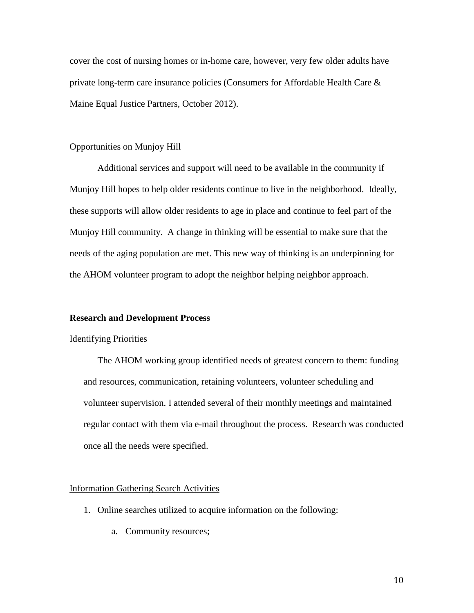cover the cost of nursing homes or in-home care, however, very few older adults have private long-term care insurance policies (Consumers for Affordable Health Care & Maine Equal Justice Partners, October 2012).

#### Opportunities on Munjoy Hill

Additional services and support will need to be available in the community if Munjoy Hill hopes to help older residents continue to live in the neighborhood. Ideally, these supports will allow older residents to age in place and continue to feel part of the Munjoy Hill community. A change in thinking will be essential to make sure that the needs of the aging population are met. This new way of thinking is an underpinning for the AHOM volunteer program to adopt the neighbor helping neighbor approach.

#### **Research and Development Process**

#### Identifying Priorities

The AHOM working group identified needs of greatest concern to them: funding and resources, communication, retaining volunteers, volunteer scheduling and volunteer supervision. I attended several of their monthly meetings and maintained regular contact with them via e-mail throughout the process. Research was conducted once all the needs were specified.

#### Information Gathering Search Activities

- 1. Online searches utilized to acquire information on the following:
	- a. Community resources;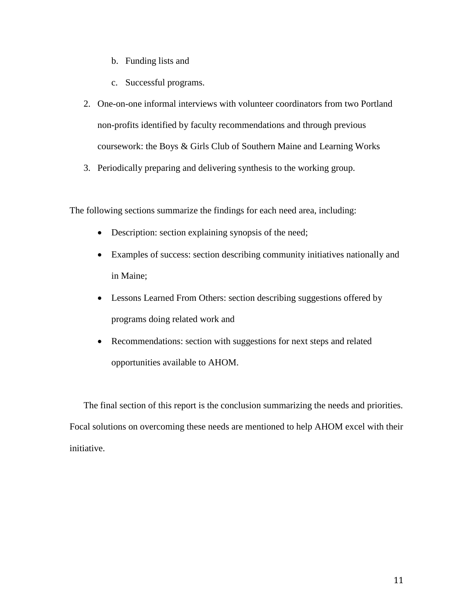- b. Funding lists and
- c. Successful programs.
- 2. One-on-one informal interviews with volunteer coordinators from two Portland non-profits identified by faculty recommendations and through previous coursework: the Boys & Girls Club of Southern Maine and Learning Works
- 3. Periodically preparing and delivering synthesis to the working group.

The following sections summarize the findings for each need area, including:

- Description: section explaining synopsis of the need;
- Examples of success: section describing community initiatives nationally and in Maine;
- Lessons Learned From Others: section describing suggestions offered by programs doing related work and
- Recommendations: section with suggestions for next steps and related opportunities available to AHOM.

The final section of this report is the conclusion summarizing the needs and priorities. Focal solutions on overcoming these needs are mentioned to help AHOM excel with their initiative.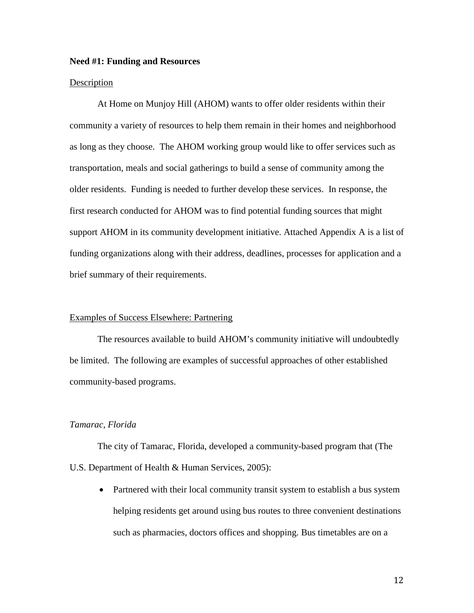#### **Need #1: Funding and Resources**

#### Description

At Home on Munjoy Hill (AHOM) wants to offer older residents within their community a variety of resources to help them remain in their homes and neighborhood as long as they choose. The AHOM working group would like to offer services such as transportation, meals and social gatherings to build a sense of community among the older residents. Funding is needed to further develop these services. In response, the first research conducted for AHOM was to find potential funding sources that might support AHOM in its community development initiative. Attached Appendix A is a list of funding organizations along with their address, deadlines, processes for application and a brief summary of their requirements.

#### Examples of Success Elsewhere: Partnering

The resources available to build AHOM's community initiative will undoubtedly be limited. The following are examples of successful approaches of other established community-based programs.

#### *Tamarac, Florida*

The city of Tamarac, Florida, developed a community-based program that (The U.S. Department of Health & Human Services, 2005):

• Partnered with their local community transit system to establish a bus system helping residents get around using bus routes to three convenient destinations such as pharmacies, doctors offices and shopping. Bus timetables are on a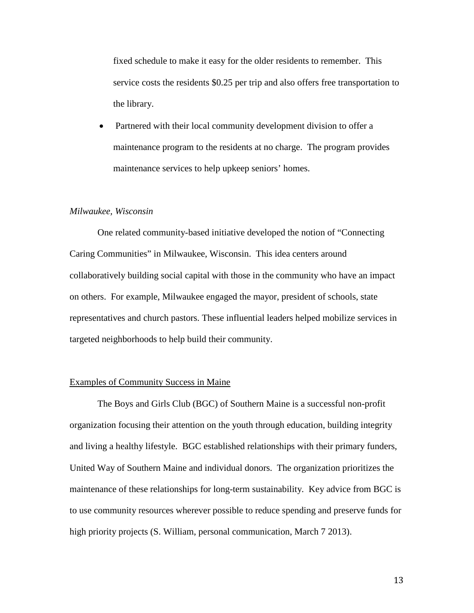fixed schedule to make it easy for the older residents to remember. This service costs the residents \$0.25 per trip and also offers free transportation to the library.

• Partnered with their local community development division to offer a maintenance program to the residents at no charge. The program provides maintenance services to help upkeep seniors' homes.

#### *Milwaukee, Wisconsin*

One related community-based initiative developed the notion of "Connecting Caring Communities" in Milwaukee, Wisconsin. This idea centers around collaboratively building social capital with those in the community who have an impact on others. For example, Milwaukee engaged the mayor, president of schools, state representatives and church pastors. These influential leaders helped mobilize services in targeted neighborhoods to help build their community.

#### Examples of Community Success in Maine

The Boys and Girls Club (BGC) of Southern Maine is a successful non-profit organization focusing their attention on the youth through education, building integrity and living a healthy lifestyle. BGC established relationships with their primary funders, United Way of Southern Maine and individual donors. The organization prioritizes the maintenance of these relationships for long-term sustainability. Key advice from BGC is to use community resources wherever possible to reduce spending and preserve funds for high priority projects (S. William, personal communication, March 7 2013).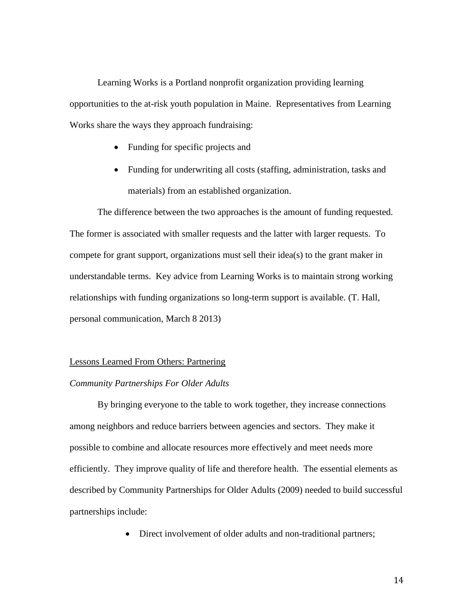Learning Works is a Portland nonprofit organization providing learning opportunities to the at-risk youth population in Maine. Representatives from Learning Works share the ways they approach fundraising:

- Funding for specific projects and
- Funding for underwriting all costs (staffing, administration, tasks and materials) from an established organization.

The difference between the two approaches is the amount of funding requested. The former is associated with smaller requests and the latter with larger requests. To compete for grant support, organizations must sell their idea(s) to the grant maker in understandable terms. Key advice from Learning Works is to maintain strong working relationships with funding organizations so long-term support is available. (T. Hall, personal communication, March 8 2013)

#### Lessons Learned From Others: Partnering

#### *Community Partnerships For Older Adults*

By bringing everyone to the table to work together, they increase connections among neighbors and reduce barriers between agencies and sectors. They make it possible to combine and allocate resources more effectively and meet needs more efficiently. They improve quality of life and therefore health. The essential elements as described by Community Partnerships for Older Adults (2009) needed to build successful partnerships include:

• Direct involvement of older adults and non-traditional partners;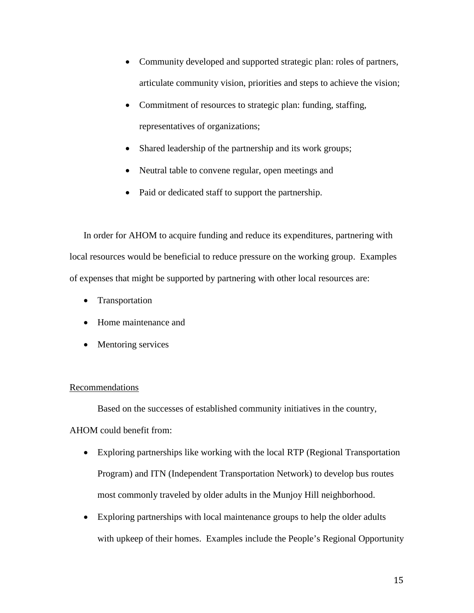- Community developed and supported strategic plan: roles of partners, articulate community vision, priorities and steps to achieve the vision;
- Commitment of resources to strategic plan: funding, staffing, representatives of organizations;
- Shared leadership of the partnership and its work groups;
- Neutral table to convene regular, open meetings and
- Paid or dedicated staff to support the partnership.

In order for AHOM to acquire funding and reduce its expenditures, partnering with local resources would be beneficial to reduce pressure on the working group. Examples of expenses that might be supported by partnering with other local resources are:

- Transportation
- Home maintenance and
- Mentoring services

## Recommendations

Based on the successes of established community initiatives in the country, AHOM could benefit from:

- Exploring partnerships like working with the local RTP (Regional Transportation Program) and ITN (Independent Transportation Network) to develop bus routes most commonly traveled by older adults in the Munjoy Hill neighborhood.
- Exploring partnerships with local maintenance groups to help the older adults with upkeep of their homes. Examples include the People's Regional Opportunity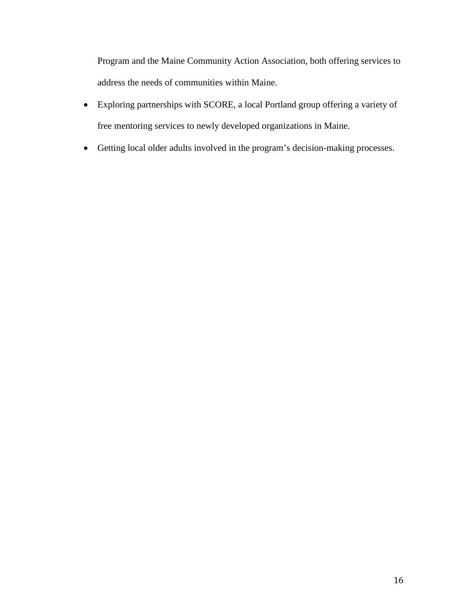Program and the Maine Community Action Association, both offering services to address the needs of communities within Maine.

- Exploring partnerships with SCORE, a local Portland group offering a variety of free mentoring services to newly developed organizations in Maine.
- Getting local older adults involved in the program's decision-making processes.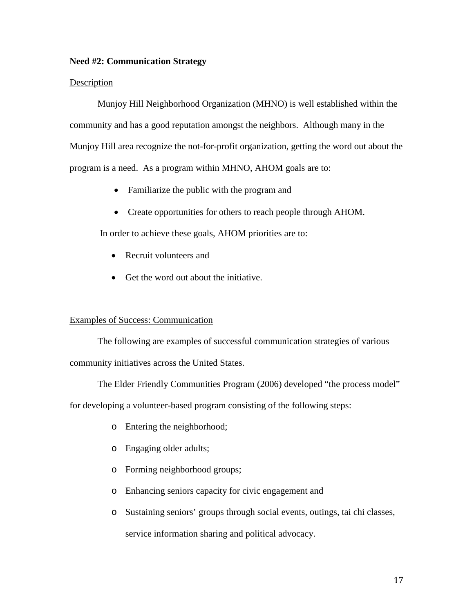### **Need #2: Communication Strategy**

#### Description

Munjoy Hill Neighborhood Organization (MHNO) is well established within the community and has a good reputation amongst the neighbors. Although many in the Munjoy Hill area recognize the not-for-profit organization, getting the word out about the program is a need. As a program within MHNO, AHOM goals are to:

- Familiarize the public with the program and
- Create opportunities for others to reach people through AHOM.

In order to achieve these goals, AHOM priorities are to:

- Recruit volunteers and
- Get the word out about the initiative.

### Examples of Success: Communication

The following are examples of successful communication strategies of various community initiatives across the United States.

The Elder Friendly Communities Program (2006) developed "the process model"

for developing a volunteer-based program consisting of the following steps:

- o Entering the neighborhood;
- o Engaging older adults;
- o Forming neighborhood groups;
- o Enhancing seniors capacity for civic engagement and
- o Sustaining seniors' groups through social events, outings, tai chi classes, service information sharing and political advocacy.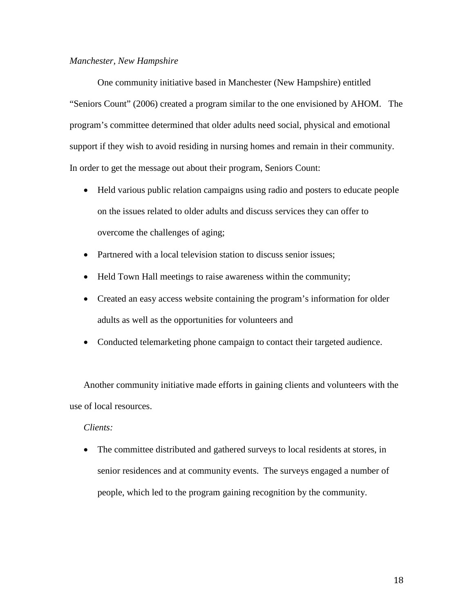#### *Manchester, New Hampshire*

One community initiative based in Manchester (New Hampshire) entitled "Seniors Count" (2006) created a program similar to the one envisioned by AHOM. The program's committee determined that older adults need social, physical and emotional support if they wish to avoid residing in nursing homes and remain in their community. In order to get the message out about their program, Seniors Count:

- Held various public relation campaigns using radio and posters to educate people on the issues related to older adults and discuss services they can offer to overcome the challenges of aging;
- Partnered with a local television station to discuss senior issues;
- Held Town Hall meetings to raise awareness within the community;
- Created an easy access website containing the program's information for older adults as well as the opportunities for volunteers and
- Conducted telemarketing phone campaign to contact their targeted audience.

Another community initiative made efforts in gaining clients and volunteers with the use of local resources.

#### *Clients:*

• The committee distributed and gathered surveys to local residents at stores, in senior residences and at community events. The surveys engaged a number of people, which led to the program gaining recognition by the community.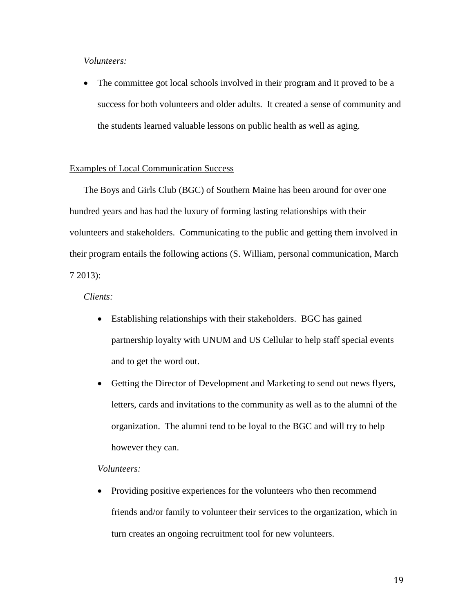# *Volunteers:*

• The committee got local schools involved in their program and it proved to be a success for both volunteers and older adults. It created a sense of community and the students learned valuable lessons on public health as well as aging.

#### Examples of Local Communication Success

The Boys and Girls Club (BGC) of Southern Maine has been around for over one hundred years and has had the luxury of forming lasting relationships with their volunteers and stakeholders. Communicating to the public and getting them involved in their program entails the following actions (S. William, personal communication, March 7 2013):

*Clients:*

- Establishing relationships with their stakeholders. BGC has gained partnership loyalty with UNUM and US Cellular to help staff special events and to get the word out.
- Getting the Director of Development and Marketing to send out news flyers, letters, cards and invitations to the community as well as to the alumni of the organization. The alumni tend to be loyal to the BGC and will try to help however they can.

#### *Volunteers:*

• Providing positive experiences for the volunteers who then recommend friends and/or family to volunteer their services to the organization, which in turn creates an ongoing recruitment tool for new volunteers.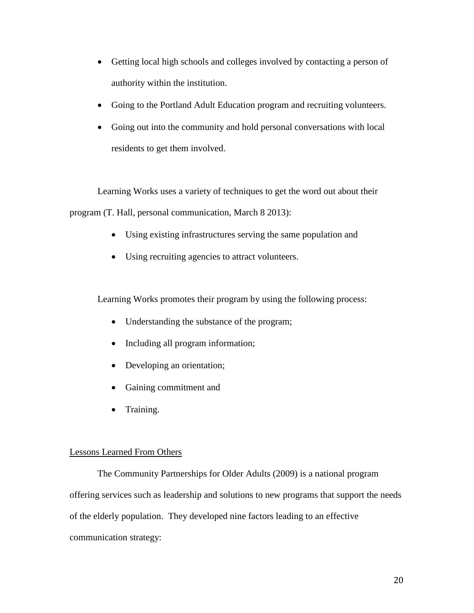- Getting local high schools and colleges involved by contacting a person of authority within the institution.
- Going to the Portland Adult Education program and recruiting volunteers.
- Going out into the community and hold personal conversations with local residents to get them involved.

Learning Works uses a variety of techniques to get the word out about their program (T. Hall, personal communication, March 8 2013):

- Using existing infrastructures serving the same population and
- Using recruiting agencies to attract volunteers.

Learning Works promotes their program by using the following process:

- Understanding the substance of the program;
- Including all program information;
- Developing an orientation;
- Gaining commitment and
- Training.

## Lessons Learned From Others

The Community Partnerships for Older Adults (2009) is a national program offering services such as leadership and solutions to new programs that support the needs of the elderly population. They developed nine factors leading to an effective communication strategy: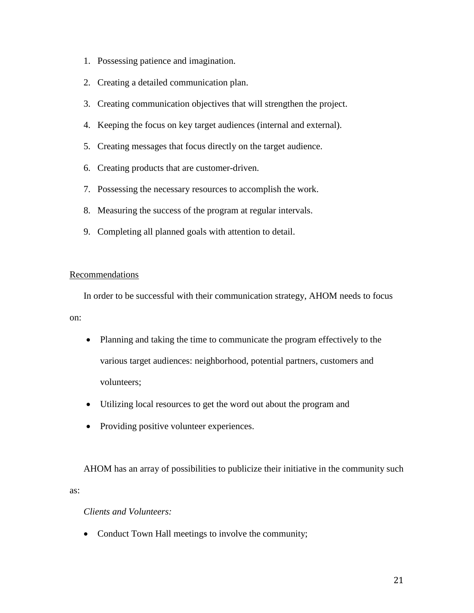- 1. Possessing patience and imagination.
- 2. Creating a detailed communication plan.
- 3. Creating communication objectives that will strengthen the project.
- 4. Keeping the focus on key target audiences (internal and external).
- 5. Creating messages that focus directly on the target audience.
- 6. Creating products that are customer-driven.
- 7. Possessing the necessary resources to accomplish the work.
- 8. Measuring the success of the program at regular intervals.
- 9. Completing all planned goals with attention to detail.

### Recommendations

In order to be successful with their communication strategy, AHOM needs to focus on:

- Planning and taking the time to communicate the program effectively to the various target audiences: neighborhood, potential partners, customers and volunteers;
- Utilizing local resources to get the word out about the program and
- Providing positive volunteer experiences.

AHOM has an array of possibilities to publicize their initiative in the community such as:

# *Clients and Volunteers:*

• Conduct Town Hall meetings to involve the community;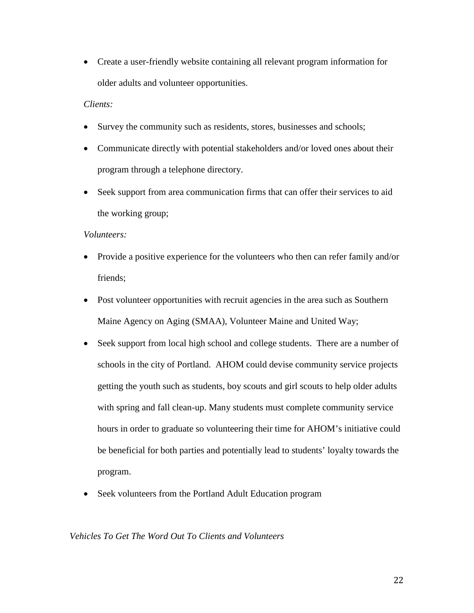• Create a user-friendly website containing all relevant program information for older adults and volunteer opportunities.

### *Clients:*

- Survey the community such as residents, stores, businesses and schools;
- Communicate directly with potential stakeholders and/or loved ones about their program through a telephone directory.
- Seek support from area communication firms that can offer their services to aid the working group;

## *Volunteers:*

- Provide a positive experience for the volunteers who then can refer family and/or friends;
- Post volunteer opportunities with recruit agencies in the area such as Southern Maine Agency on Aging (SMAA), Volunteer Maine and United Way;
- Seek support from local high school and college students. There are a number of schools in the city of Portland. AHOM could devise community service projects getting the youth such as students, boy scouts and girl scouts to help older adults with spring and fall clean-up. Many students must complete community service hours in order to graduate so volunteering their time for AHOM's initiative could be beneficial for both parties and potentially lead to students' loyalty towards the program.
- Seek volunteers from the Portland Adult Education program

### *Vehicles To Get The Word Out To Clients and Volunteers*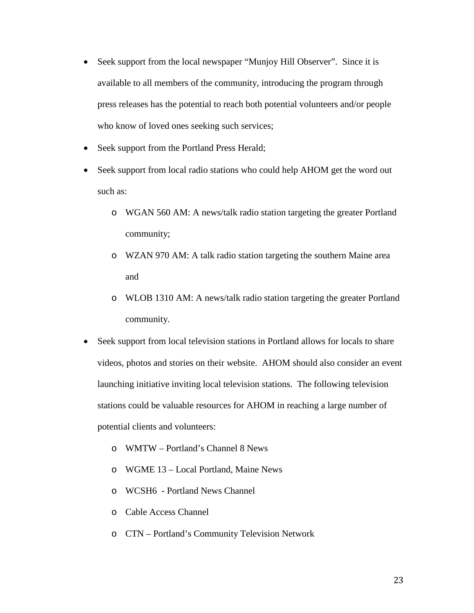- Seek support from the local newspaper "Munjoy Hill Observer". Since it is available to all members of the community, introducing the program through press releases has the potential to reach both potential volunteers and/or people who know of loved ones seeking such services;
- Seek support from the Portland Press Herald;
- Seek support from local radio stations who could help AHOM get the word out such as:
	- o WGAN 560 AM: A news/talk radio station targeting the greater Portland community;
	- o WZAN 970 AM: A talk radio station targeting the southern Maine area and
	- o WLOB 1310 AM: A news/talk radio station targeting the greater Portland community.
- Seek support from local television stations in Portland allows for locals to share videos, photos and stories on their website. AHOM should also consider an event launching initiative inviting local television stations. The following television stations could be valuable resources for AHOM in reaching a large number of potential clients and volunteers:
	- o WMTW Portland's Channel 8 News
	- o WGME 13 Local Portland, Maine News
	- o WCSH6 Portland News Channel
	- o Cable Access Channel
	- o CTN Portland's Community Television Network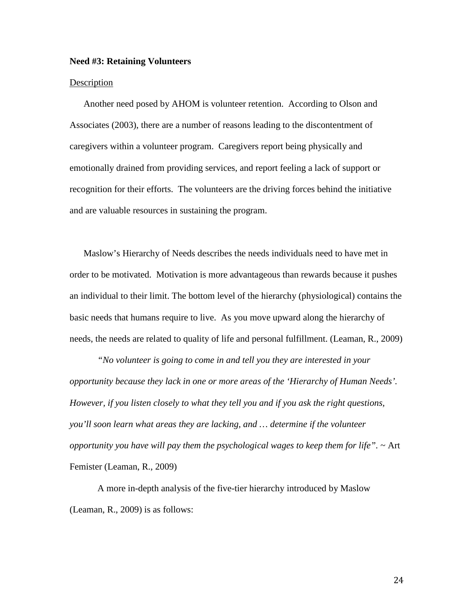#### **Need #3: Retaining Volunteers**

#### Description

Another need posed by AHOM is volunteer retention. According to Olson and Associates (2003), there are a number of reasons leading to the discontentment of caregivers within a volunteer program. Caregivers report being physically and emotionally drained from providing services, and report feeling a lack of support or recognition for their efforts. The volunteers are the driving forces behind the initiative and are valuable resources in sustaining the program.

Maslow's Hierarchy of Needs describes the needs individuals need to have met in order to be motivated. Motivation is more advantageous than rewards because it pushes an individual to their limit. The bottom level of the hierarchy (physiological) contains the basic needs that humans require to live. As you move upward along the hierarchy of needs, the needs are related to quality of life and personal fulfillment. (Leaman, R., 2009)

*"No volunteer is going to come in and tell you they are interested in your opportunity because they lack in one or more areas of the 'Hierarchy of Human Needs'. However, if you listen closely to what they tell you and if you ask the right questions, you'll soon learn what areas they are lacking, and … determine if the volunteer opportunity you have will pay them the psychological wages to keep them for life".* ~ [Art](http://www.officer.com/article/article.jsp?id=30324&siteSection=19)  [Femister](http://www.officer.com/article/article.jsp?id=30324&siteSection=19) (Leaman, R., 2009)

A more in-depth analysis of the five-tier hierarchy introduced by Maslow (Leaman, R., 2009) is as follows: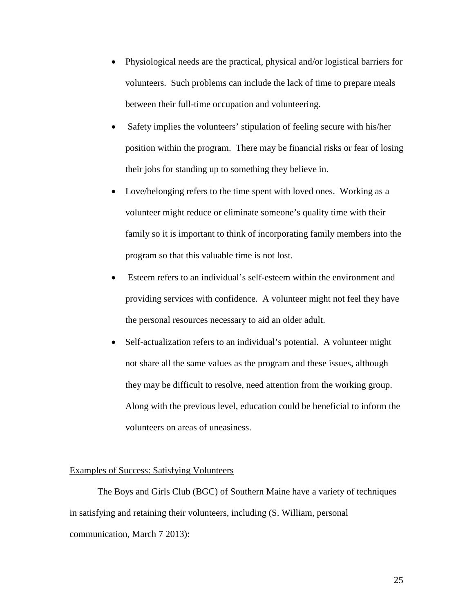- Physiological needs are the practical, physical and/or logistical barriers for volunteers. Such problems can include the lack of time to prepare meals between their full-time occupation and volunteering.
- Safety implies the volunteers' stipulation of feeling secure with his/her position within the program. There may be financial risks or fear of losing their jobs for standing up to something they believe in.
- Love/belonging refers to the time spent with loved ones. Working as a volunteer might reduce or eliminate someone's quality time with their family so it is important to think of incorporating family members into the program so that this valuable time is not lost.
- Esteem refers to an individual's self-esteem within the environment and providing services with confidence. A volunteer might not feel they have the personal resources necessary to aid an older adult.
- Self-actualization refers to an individual's potential. A volunteer might not share all the same values as the program and these issues, although they may be difficult to resolve, need attention from the working group. Along with the previous level, education could be beneficial to inform the volunteers on areas of uneasiness.

### Examples of Success: Satisfying Volunteers

The Boys and Girls Club (BGC) of Southern Maine have a variety of techniques in satisfying and retaining their volunteers, including (S. William, personal communication, March 7 2013):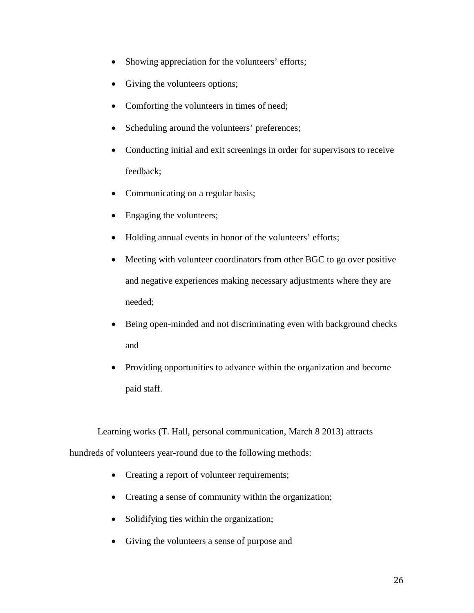- Showing appreciation for the volunteers' efforts;
- Giving the volunteers options;
- Comforting the volunteers in times of need;
- Scheduling around the volunteers' preferences;
- Conducting initial and exit screenings in order for supervisors to receive feedback;
- Communicating on a regular basis;
- Engaging the volunteers;
- Holding annual events in honor of the volunteers' efforts;
- Meeting with volunteer coordinators from other BGC to go over positive and negative experiences making necessary adjustments where they are needed;
- Being open-minded and not discriminating even with background checks and
- Providing opportunities to advance within the organization and become paid staff.

Learning works (T. Hall, personal communication, March 8 2013) attracts hundreds of volunteers year-round due to the following methods:

- Creating a report of volunteer requirements;
- Creating a sense of community within the organization;
- Solidifying ties within the organization;
- Giving the volunteers a sense of purpose and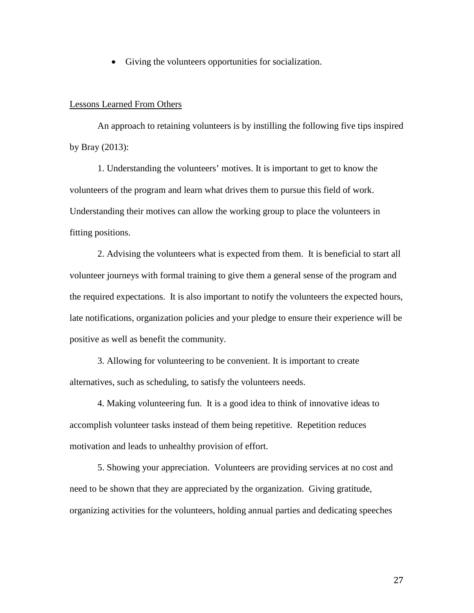• Giving the volunteers opportunities for socialization.

#### Lessons Learned From Others

An approach to retaining volunteers is by instilling the following five tips inspired by Bray (2013):

1. Understanding the volunteers' motives. It is important to get to know the volunteers of the program and learn what drives them to pursue this field of work. Understanding their motives can allow the working group to place the volunteers in fitting positions.

2. Advising the volunteers what is expected from them. It is beneficial to start all volunteer journeys with formal training to give them a general sense of the program and the required expectations. It is also important to notify the volunteers the expected hours, late notifications, organization policies and your pledge to ensure their experience will be positive as well as benefit the community.

3. Allowing for volunteering to be convenient. It is important to create alternatives, such as scheduling, to satisfy the volunteers needs.

4. Making volunteering fun. It is a good idea to think of innovative ideas to accomplish volunteer tasks instead of them being repetitive. Repetition reduces motivation and leads to unhealthy provision of effort.

5. Showing your appreciation. Volunteers are providing services at no cost and need to be shown that they are appreciated by the organization. Giving gratitude, organizing activities for the volunteers, holding annual parties and dedicating speeches

27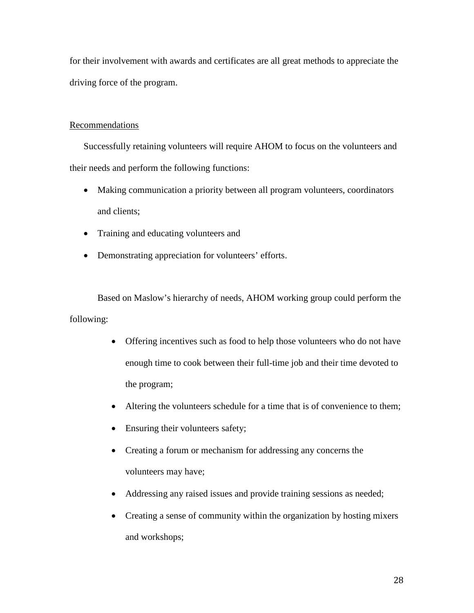for their involvement with awards and certificates are all great methods to appreciate the driving force of the program.

# Recommendations

Successfully retaining volunteers will require AHOM to focus on the volunteers and their needs and perform the following functions:

- Making communication a priority between all program volunteers, coordinators and clients;
- Training and educating volunteers and
- Demonstrating appreciation for volunteers' efforts.

Based on Maslow's hierarchy of needs, AHOM working group could perform the following:

- Offering incentives such as food to help those volunteers who do not have enough time to cook between their full-time job and their time devoted to the program;
- Altering the volunteers schedule for a time that is of convenience to them;
- Ensuring their volunteers safety;
- Creating a forum or mechanism for addressing any concerns the volunteers may have;
- Addressing any raised issues and provide training sessions as needed;
- Creating a sense of community within the organization by hosting mixers and workshops;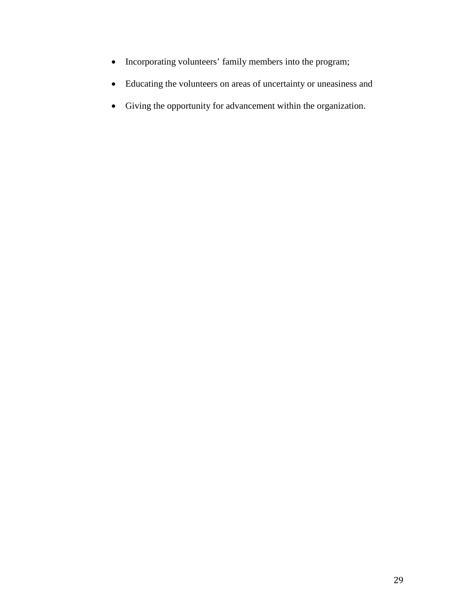- Incorporating volunteers' family members into the program;
- Educating the volunteers on areas of uncertainty or uneasiness and
- Giving the opportunity for advancement within the organization.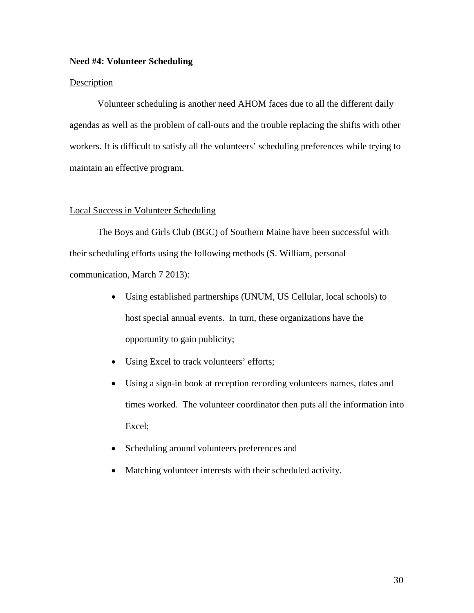#### **Need #4: Volunteer Scheduling**

#### Description

Volunteer scheduling is another need AHOM faces due to all the different daily agendas as well as the problem of call-outs and the trouble replacing the shifts with other workers. It is difficult to satisfy all the volunteers' scheduling preferences while trying to maintain an effective program.

#### Local Success in Volunteer Scheduling

The Boys and Girls Club (BGC) of Southern Maine have been successful with their scheduling efforts using the following methods (S. William, personal communication, March 7 2013):

- Using established partnerships (UNUM, US Cellular, local schools) to host special annual events. In turn, these organizations have the opportunity to gain publicity;
- Using Excel to track volunteers' efforts;
- Using a sign-in book at reception recording volunteers names, dates and times worked. The volunteer coordinator then puts all the information into Excel;
- Scheduling around volunteers preferences and
- Matching volunteer interests with their scheduled activity.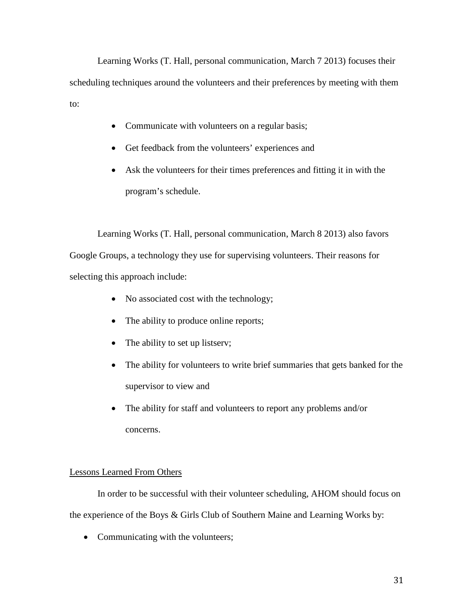Learning Works (T. Hall, personal communication, March 7 2013) focuses their scheduling techniques around the volunteers and their preferences by meeting with them to:

- Communicate with volunteers on a regular basis;
- Get feedback from the volunteers' experiences and
- Ask the volunteers for their times preferences and fitting it in with the program's schedule.

Learning Works (T. Hall, personal communication, March 8 2013) also favors Google Groups, a technology they use for supervising volunteers. Their reasons for selecting this approach include:

- No associated cost with the technology;
- The ability to produce online reports;
- The ability to set up listserv;
- The ability for volunteers to write brief summaries that gets banked for the supervisor to view and
- The ability for staff and volunteers to report any problems and/or concerns.

## Lessons Learned From Others

In order to be successful with their volunteer scheduling, AHOM should focus on the experience of the Boys & Girls Club of Southern Maine and Learning Works by:

• Communicating with the volunteers;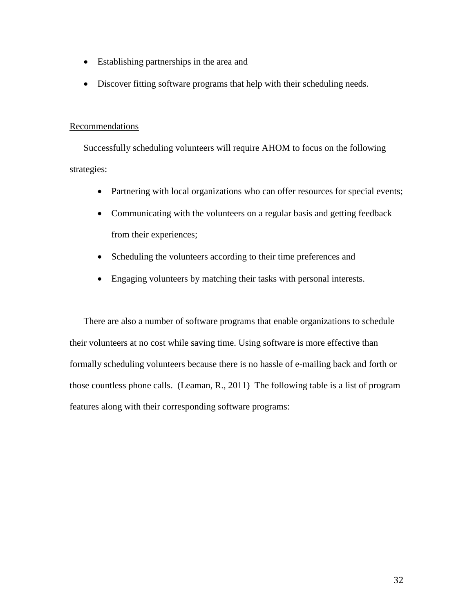- Establishing partnerships in the area and
- Discover fitting software programs that help with their scheduling needs.

### Recommendations

Successfully scheduling volunteers will require AHOM to focus on the following strategies:

- Partnering with local organizations who can offer resources for special events;
- Communicating with the volunteers on a regular basis and getting feedback from their experiences;
- Scheduling the volunteers according to their time preferences and
- Engaging volunteers by matching their tasks with personal interests.

There are also a number of software programs that enable organizations to schedule their volunteers at no cost while saving time. Using software is more effective than formally scheduling volunteers because there is no hassle of e-mailing back and forth or those countless phone calls. (Leaman, R., 2011) The following table is a list of program features along with their corresponding software programs: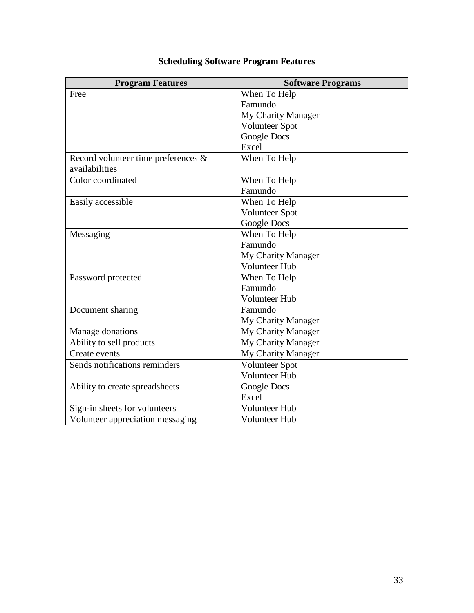| <b>Program Features</b>             | <b>Software Programs</b> |
|-------------------------------------|--------------------------|
| Free                                | When To Help             |
|                                     | Famundo                  |
|                                     | My Charity Manager       |
|                                     | <b>Volunteer Spot</b>    |
|                                     | Google Docs              |
|                                     | Excel                    |
| Record volunteer time preferences & | When To Help             |
| availabilities                      |                          |
| Color coordinated                   | When To Help             |
|                                     | Famundo                  |
| Easily accessible                   | When To Help             |
|                                     | <b>Volunteer Spot</b>    |
|                                     | Google Docs              |
| Messaging                           | When To Help             |
|                                     | Famundo                  |
|                                     | My Charity Manager       |
|                                     | <b>Volunteer Hub</b>     |
| Password protected                  | When To Help             |
|                                     | Famundo                  |
|                                     | <b>Volunteer Hub</b>     |
| Document sharing                    | Famundo                  |
|                                     | My Charity Manager       |
| Manage donations                    | My Charity Manager       |
| Ability to sell products            | My Charity Manager       |
| Create events                       | My Charity Manager       |
| Sends notifications reminders       | <b>Volunteer Spot</b>    |
|                                     | Volunteer Hub            |
| Ability to create spreadsheets      | Google Docs              |
|                                     | Excel                    |
| Sign-in sheets for volunteers       | Volunteer Hub            |
| Volunteer appreciation messaging    | <b>Volunteer Hub</b>     |

# **Scheduling Software Program Features**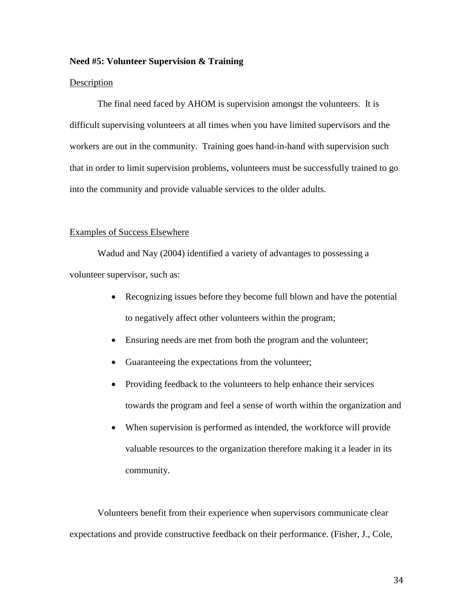#### **Need #5: Volunteer Supervision & Training**

#### Description

The final need faced by AHOM is supervision amongst the volunteers. It is difficult supervising volunteers at all times when you have limited supervisors and the workers are out in the community. Training goes hand-in-hand with supervision such that in order to limit supervision problems, volunteers must be successfully trained to go into the community and provide valuable services to the older adults.

#### Examples of Success Elsewhere

Wadud and Nay (2004) identified a variety of advantages to possessing a volunteer supervisor, such as:

- Recognizing issues before they become full blown and have the potential to negatively affect other volunteers within the program;
- Ensuring needs are met from both the program and the volunteer;
- Guaranteeing the expectations from the volunteer;
- Providing feedback to the volunteers to help enhance their services towards the program and feel a sense of worth within the organization and
- When supervision is performed as intended, the workforce will provide valuable resources to the organization therefore making it a leader in its community.

Volunteers benefit from their experience when supervisors communicate clear expectations and provide constructive feedback on their performance. (Fisher, J., Cole,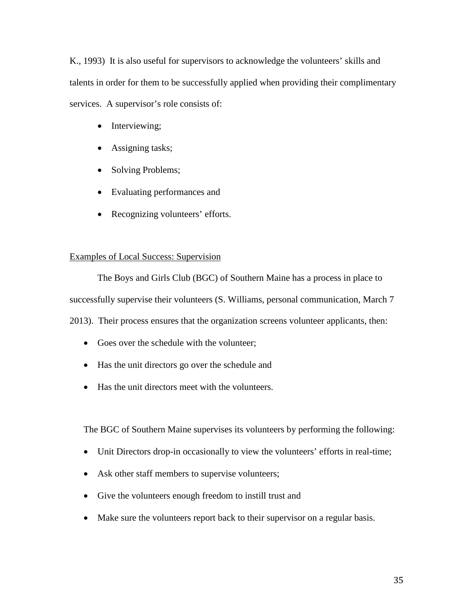K., 1993) It is also useful for supervisors to acknowledge the volunteers' skills and talents in order for them to be successfully applied when providing their complimentary services. A supervisor's role consists of:

- Interviewing;
- Assigning tasks;
- Solving Problems;
- Evaluating performances and
- Recognizing volunteers' efforts.

# Examples of Local Success: Supervision

The Boys and Girls Club (BGC) of Southern Maine has a process in place to successfully supervise their volunteers (S. Williams, personal communication, March 7 2013). Their process ensures that the organization screens volunteer applicants, then:

- Goes over the schedule with the volunteer;
- Has the unit directors go over the schedule and
- Has the unit directors meet with the volunteers.

The BGC of Southern Maine supervises its volunteers by performing the following:

- Unit Directors drop-in occasionally to view the volunteers' efforts in real-time;
- Ask other staff members to supervise volunteers;
- Give the volunteers enough freedom to instill trust and
- Make sure the volunteers report back to their supervisor on a regular basis.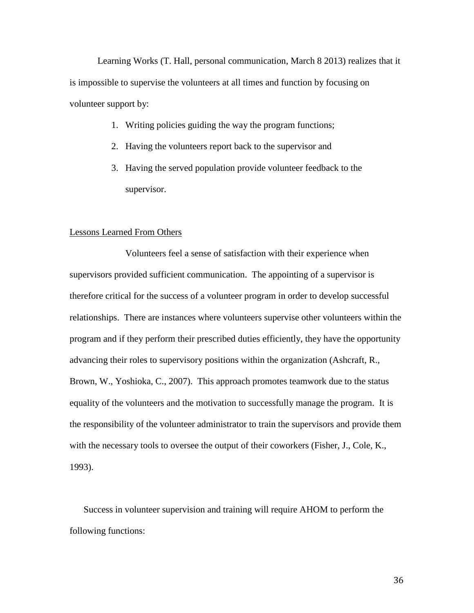Learning Works (T. Hall, personal communication, March 8 2013) realizes that it is impossible to supervise the volunteers at all times and function by focusing on volunteer support by:

- 1. Writing policies guiding the way the program functions;
- 2. Having the volunteers report back to the supervisor and
- 3. Having the served population provide volunteer feedback to the supervisor.

# Lessons Learned From Others

Volunteers feel a sense of satisfaction with their experience when supervisors provided sufficient communication. The appointing of a supervisor is therefore critical for the success of a volunteer program in order to develop successful relationships. There are instances where volunteers supervise other volunteers within the program and if they perform their prescribed duties efficiently, they have the opportunity advancing their roles to supervisory positions within the organization (Ashcraft, R., Brown, W., Yoshioka, C., 2007). This approach promotes teamwork due to the status equality of the volunteers and the motivation to successfully manage the program. It is the responsibility of the volunteer administrator to train the supervisors and provide them with the necessary tools to oversee the output of their coworkers (Fisher, J., Cole, K., 1993).

Success in volunteer supervision and training will require AHOM to perform the following functions: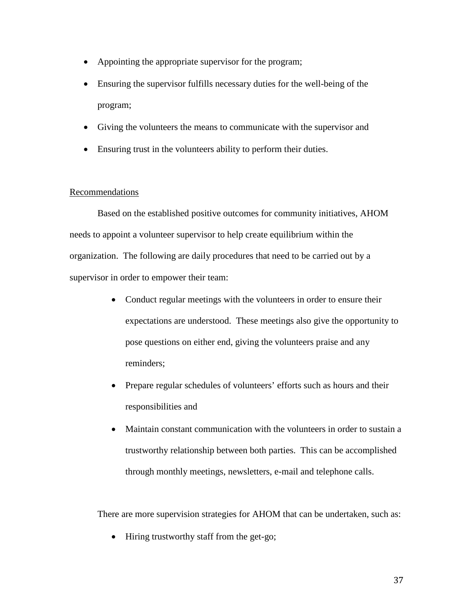- Appointing the appropriate supervisor for the program;
- Ensuring the supervisor fulfills necessary duties for the well-being of the program;
- Giving the volunteers the means to communicate with the supervisor and
- Ensuring trust in the volunteers ability to perform their duties.

#### Recommendations

Based on the established positive outcomes for community initiatives, AHOM needs to appoint a volunteer supervisor to help create equilibrium within the organization. The following are daily procedures that need to be carried out by a supervisor in order to empower their team:

- Conduct regular meetings with the volunteers in order to ensure their expectations are understood. These meetings also give the opportunity to pose questions on either end, giving the volunteers praise and any reminders;
- Prepare regular schedules of volunteers' efforts such as hours and their responsibilities and
- Maintain constant communication with the volunteers in order to sustain a trustworthy relationship between both parties. This can be accomplished through monthly meetings, newsletters, e-mail and telephone calls.

There are more supervision strategies for AHOM that can be undertaken, such as:

• Hiring trustworthy staff from the get-go;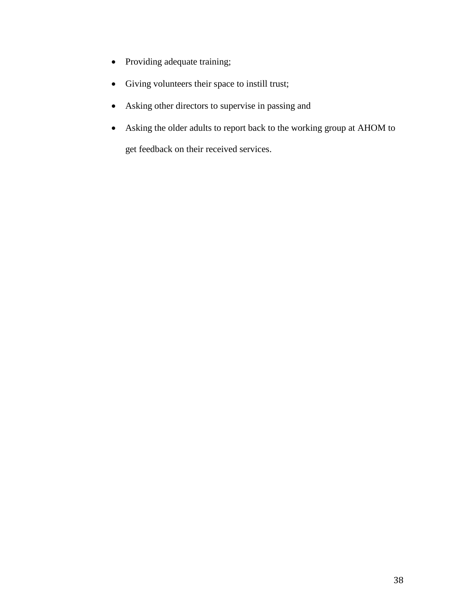- Providing adequate training;
- Giving volunteers their space to instill trust;
- Asking other directors to supervise in passing and
- Asking the older adults to report back to the working group at AHOM to get feedback on their received services.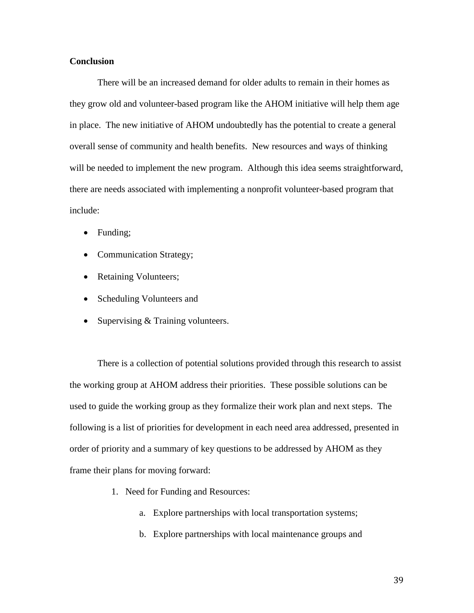# **Conclusion**

There will be an increased demand for older adults to remain in their homes as they grow old and volunteer-based program like the AHOM initiative will help them age in place. The new initiative of AHOM undoubtedly has the potential to create a general overall sense of community and health benefits. New resources and ways of thinking will be needed to implement the new program. Although this idea seems straightforward, there are needs associated with implementing a nonprofit volunteer-based program that include:

- Funding;
- Communication Strategy;
- Retaining Volunteers;
- Scheduling Volunteers and
- Supervising & Training volunteers.

There is a collection of potential solutions provided through this research to assist the working group at AHOM address their priorities. These possible solutions can be used to guide the working group as they formalize their work plan and next steps. The following is a list of priorities for development in each need area addressed, presented in order of priority and a summary of key questions to be addressed by AHOM as they frame their plans for moving forward:

- 1. Need for Funding and Resources:
	- a. Explore partnerships with local transportation systems;
	- b. Explore partnerships with local maintenance groups and

39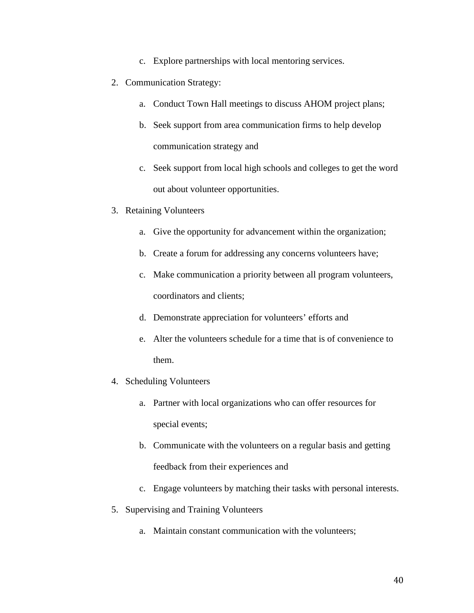- c. Explore partnerships with local mentoring services.
- 2. Communication Strategy:
	- a. Conduct Town Hall meetings to discuss AHOM project plans;
	- b. Seek support from area communication firms to help develop communication strategy and
	- c. Seek support from local high schools and colleges to get the word out about volunteer opportunities.
- 3. Retaining Volunteers
	- a. Give the opportunity for advancement within the organization;
	- b. Create a forum for addressing any concerns volunteers have;
	- c. Make communication a priority between all program volunteers, coordinators and clients;
	- d. Demonstrate appreciation for volunteers' efforts and
	- e. Alter the volunteers schedule for a time that is of convenience to them.
- 4. Scheduling Volunteers
	- a. Partner with local organizations who can offer resources for special events;
	- b. Communicate with the volunteers on a regular basis and getting feedback from their experiences and
	- c. Engage volunteers by matching their tasks with personal interests.
- 5. Supervising and Training Volunteers
	- a. Maintain constant communication with the volunteers;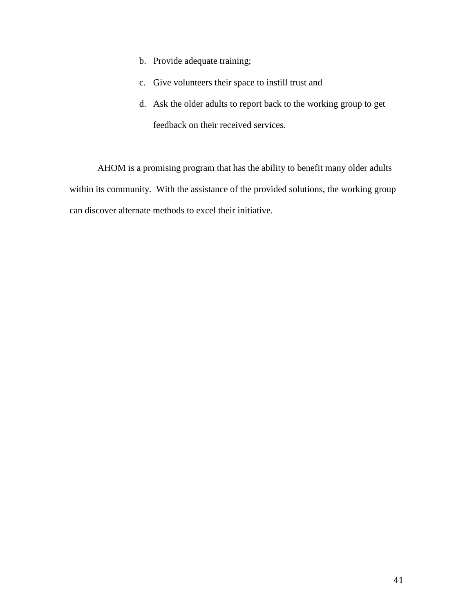- b. Provide adequate training;
- c. Give volunteers their space to instill trust and
- d. Ask the older adults to report back to the working group to get feedback on their received services.

AHOM is a promising program that has the ability to benefit many older adults within its community. With the assistance of the provided solutions, the working group can discover alternate methods to excel their initiative.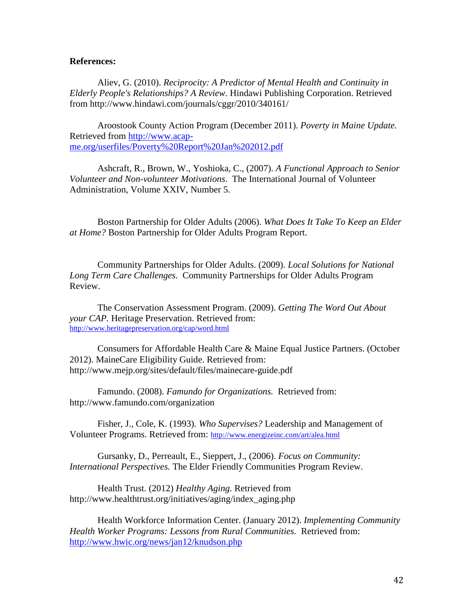#### **References:**

Aliev, G. (2010). *Reciprocity: A Predictor of Mental Health and Continuity in Elderly People's Relationships? A Review.* Hindawi Publishing Corporation. Retrieved from http://www.hindawi.com/journals/cggr/2010/340161/

Aroostook County Action Program (December 2011). *Poverty in Maine Update.* Retrieved from [http://www.acap](http://www.acap-me.org/userfiles/Poverty%20Report%20Jan%202012.pdf)[me.org/userfiles/Poverty%20Report%20Jan%202012.pdf](http://www.acap-me.org/userfiles/Poverty%20Report%20Jan%202012.pdf)

Ashcraft, R., Brown, W., Yoshioka, C., (2007). *A Functional Approach to Senior Volunteer and Non-volunteer Motivations*. The International Journal of Volunteer Administration, Volume XXIV, Number 5.

Boston Partnership for Older Adults (2006). *What Does It Take To Keep an Elder at Home?* Boston Partnership for Older Adults Program Report.

Community Partnerships for Older Adults. (2009). *Local Solutions for National Long Term Care Challenges.* Community Partnerships for Older Adults Program Review.

The Conservation Assessment Program. (2009). *Getting The Word Out About your CAP.* Heritage Preservation. Retrieved from: <http://www.heritagepreservation.org/cap/word.html>

Consumers for Affordable Health Care & Maine Equal Justice Partners. (October 2012). MaineCare Eligibility Guide. Retrieved from: http://www.mejp.org/sites/default/files/mainecare-guide.pdf

Famundo. (2008). *Famundo for Organizations.* Retrieved from: http://www.famundo.com/organization

Fisher, J., Cole, K. (1993). *Who Supervises?* Leadership and Management of Volunteer Programs. Retrieved from:<http://www.energizeinc.com/art/alea.html>

Gursanky, D., Perreault, E., Sieppert, J., (2006). *Focus on Community: International Perspectives.* The Elder Friendly Communities Program Review.

Health Trust. (2012) *Healthy Aging.* Retrieved from http://www.healthtrust.org/initiatives/aging/index\_aging.php

Health Workforce Information Center. (January 2012). *Implementing Community Health Worker Programs: Lessons from Rural Communities.* Retrieved from: <http://www.hwic.org/news/jan12/knudson.php>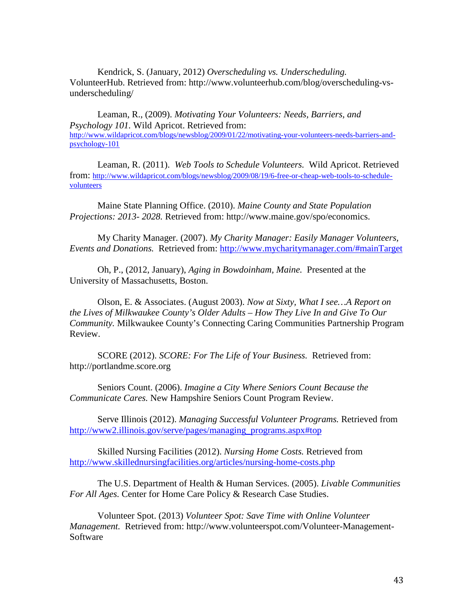Kendrick, S. (January, 2012) *Overscheduling vs. Underscheduling.*  VolunteerHub. Retrieved from: http://www.volunteerhub.com/blog/overscheduling-vsunderscheduling/

Leaman, R., (2009). *Motivating Your Volunteers: Needs, Barriers, and Psychology 101.* Wild Apricot. Retrieved from: [http://www.wildapricot.com/blogs/newsblog/2009/01/22/motivating-your-volunteers-needs-barriers-and](http://www.wildapricot.com/blogs/newsblog/2009/01/22/motivating-your-volunteers-needs-barriers-and-psychology-101)[psychology-101](http://www.wildapricot.com/blogs/newsblog/2009/01/22/motivating-your-volunteers-needs-barriers-and-psychology-101)

Leaman, R. (2011). *Web Tools to Schedule Volunteers.* Wild Apricot. Retrieved from: [http://www.wildapricot.com/blogs/newsblog/2009/08/19/6-free-or-cheap-web-tools-to-schedule](http://www.wildapricot.com/blogs/newsblog/2009/08/19/6-free-or-cheap-web-tools-to-schedule-volunteers)[volunteers](http://www.wildapricot.com/blogs/newsblog/2009/08/19/6-free-or-cheap-web-tools-to-schedule-volunteers)

Maine State Planning Office. (2010). *Maine County and State Population Projections: 2013- 2028.* Retrieved from: http://www.maine.gov/spo/economics.

My Charity Manager. (2007). *My Charity Manager: Easily Manager Volunteers, Events and Donations.* Retrieved from:<http://www.mycharitymanager.com/#mainTarget>

Oh, P., (2012, January), *Aging in Bowdoinham, Maine.* Presented at the University of Massachusetts, Boston.

Olson, E. & Associates. (August 2003). *Now at Sixty, What I see…A Report on the Lives of Milkwaukee County's Older Adults – How They Live In and Give To Our Community.* Milkwaukee County's Connecting Caring Communities Partnership Program Review.

SCORE (2012). *SCORE: For The Life of Your Business.* Retrieved from: http://portlandme.score.org

Seniors Count. (2006). *Imagine a City Where Seniors Count Because the Communicate Cares.* New Hampshire Seniors Count Program Review.

Serve Illinois (2012). *Managing Successful Volunteer Programs.* Retrieved from [http://www2.illinois.gov/serve/pages/managing\\_programs.aspx#top](http://www2.illinois.gov/serve/pages/managing_programs.aspx#top)

Skilled Nursing Facilities (2012). *Nursing Home Costs.* Retrieved from <http://www.skillednursingfacilities.org/articles/nursing-home-costs.php>

The U.S. Department of Health & Human Services. (2005). *Livable Communities For All Ages.* Center for Home Care Policy & Research Case Studies.

Volunteer Spot. (2013) *Volunteer Spot: Save Time with Online Volunteer Management.* Retrieved from: http://www.volunteerspot.com/Volunteer-Management-Software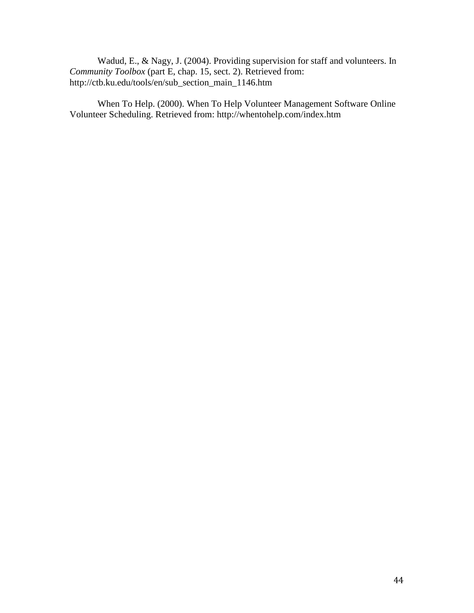Wadud, E., & Nagy, J. (2004). Providing supervision for staff and volunteers. In *Community Toolbox* (part E, chap. 15, sect. 2). Retrieved from: http://ctb.ku.edu/tools/en/sub\_section\_main\_1146.htm

When To Help. (2000). When To Help Volunteer Management Software Online Volunteer Scheduling. Retrieved from: http://whentohelp.com/index.htm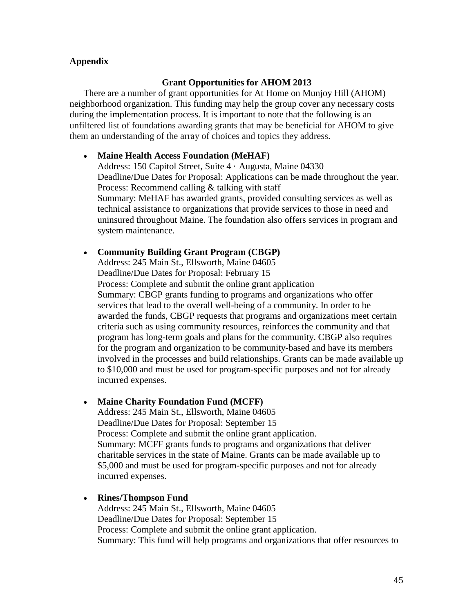# **Appendix**

# **Grant Opportunities for AHOM 2013**

There are a number of grant opportunities for At Home on Munjoy Hill (AHOM) neighborhood organization. This funding may help the group cover any necessary costs during the implementation process. It is important to note that the following is an unfiltered list of foundations awarding grants that may be beneficial for AHOM to give them an understanding of the array of choices and topics they address.

### • **Maine Health Access Foundation (MeHAF)**

Address: 150 Capitol Street, Suite 4 · Augusta, Maine 04330 Deadline/Due Dates for Proposal: Applications can be made throughout the year. Process: Recommend calling & talking with staff Summary: MeHAF has awarded grants, provided consulting services as well as technical assistance to organizations that provide services to those in need and uninsured throughout Maine. The foundation also offers services in program and system maintenance.

## • **Community Building Grant Program (CBGP)**

Address: 245 Main St., Ellsworth, Maine 04605 Deadline/Due Dates for Proposal: February 15 Process: Complete and submit the online grant application Summary: CBGP grants funding to programs and organizations who offer services that lead to the overall well-being of a community. In order to be awarded the funds, CBGP requests that programs and organizations meet certain criteria such as using community resources, reinforces the community and that program has long-term goals and plans for the community. CBGP also requires for the program and organization to be community-based and have its members involved in the processes and build relationships. Grants can be made available up to \$10,000 and must be used for program-specific purposes and not for already incurred expenses.

## • **Maine Charity Foundation Fund (MCFF)**

Address: 245 Main St., Ellsworth, Maine 04605 Deadline/Due Dates for Proposal: September 15 Process: Complete and submit the online grant application. Summary: MCFF grants funds to programs and organizations that deliver charitable services in the state of Maine. Grants can be made available up to \$5,000 and must be used for program-specific purposes and not for already incurred expenses.

• **Rines/Thompson Fund** Address: 245 Main St., Ellsworth, Maine 04605 Deadline/Due Dates for Proposal: September 15 Process: Complete and submit the online grant application. Summary: This fund will help programs and organizations that offer resources to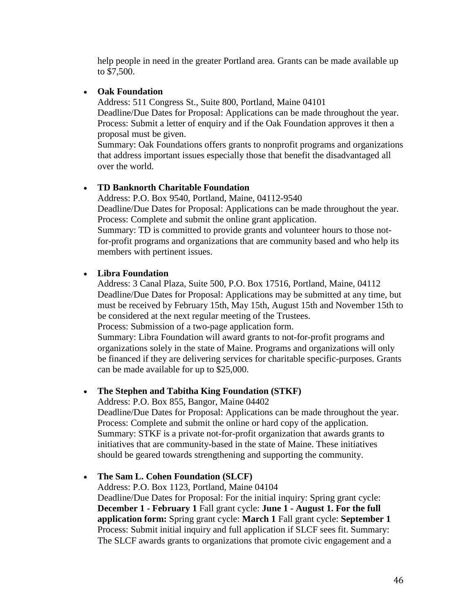help people in need in the greater Portland area. Grants can be made available up to \$7,500.

# • **Oak Foundation**

Address: 511 Congress St., Suite 800, Portland, Maine 04101 Deadline/Due Dates for Proposal: Applications can be made throughout the year. Process: Submit a letter of enquiry and if the Oak Foundation approves it then a proposal must be given.

Summary: Oak Foundations offers grants to nonprofit programs and organizations that address important issues especially those that benefit the disadvantaged all over the world.

# • **TD Banknorth Charitable Foundation**

Address: P.O. Box 9540, Portland, Maine, 04112-9540 Deadline/Due Dates for Proposal: Applications can be made throughout the year. Process: Complete and submit the online grant application. Summary: TD is committed to provide grants and volunteer hours to those notfor-profit programs and organizations that are community based and who help its members with pertinent issues.

# • **Libra Foundation**

Address: 3 Canal Plaza, Suite 500, P.O. Box 17516, Portland, Maine, 04112 Deadline/Due Dates for Proposal: Applications may be submitted at any time, but must be received by February 15th, May 15th, August 15th and November 15th to be considered at the next regular meeting of the Trustees.

Process: Submission of a two-page application form.

Summary: Libra Foundation will award grants to not-for-profit programs and organizations solely in the state of Maine. Programs and organizations will only be financed if they are delivering services for charitable specific-purposes. Grants can be made available for up to \$25,000.

# • **The Stephen and Tabitha King Foundation (STKF)**

Address: P.O. Box 855, Bangor, Maine 04402

Deadline/Due Dates for Proposal: Applications can be made throughout the year. Process: Complete and submit the online or hard copy of the application. Summary: STKF is a private not-for-profit organization that awards grants to initiatives that are community-based in the state of Maine. These initiatives should be geared towards strengthening and supporting the community.

# • **The Sam L. Cohen Foundation (SLCF)**

Address: P.O. Box 1123, Portland, Maine 04104

Deadline/Due Dates for Proposal: For the initial inquiry: Spring grant cycle: **December 1 - February 1** Fall grant cycle: **June 1 - August 1. For the full application form:** Spring grant cycle: **March 1** Fall grant cycle: **September 1**  Process: Submit initial inquiry and full application if SLCF sees fit. Summary: The SLCF awards grants to organizations that promote civic engagement and a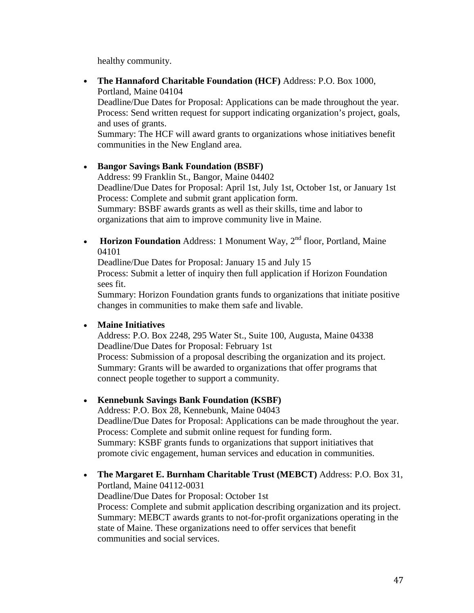healthy community.

• **The Hannaford Charitable Foundation (HCF)** Address: P.O. Box 1000, Portland, Maine 04104 Deadline/Due Dates for Proposal: Applications can be made throughout the year. Process: Send written request for support indicating organization's project, goals, and uses of grants. Summary: The HCF will award grants to organizations whose initiatives benefit communities in the New England area.

• **Bangor Savings Bank Foundation (BSBF)** Address: 99 Franklin St., Bangor, Maine 04402 Deadline/Due Dates for Proposal: April 1st, July 1st, October 1st, or January 1st Process: Complete and submit grant application form. Summary: BSBF awards grants as well as their skills, time and labor to organizations that aim to improve community live in Maine.

• **Horizon Foundation** Address: 1 Monument Way, 2<sup>nd</sup> floor, Portland, Maine 04101

Deadline/Due Dates for Proposal: January 15 and July 15 Process: Submit a letter of inquiry then full application if Horizon Foundation sees fit.

Summary: Horizon Foundation grants funds to organizations that initiate positive changes in communities to make them safe and livable.

# • **Maine Initiatives**

Address: P.O. Box 2248, 295 Water St., Suite 100, Augusta, Maine 04338 Deadline/Due Dates for Proposal: February 1st

Process: Submission of a proposal describing the organization and its project. Summary: Grants will be awarded to organizations that offer programs that connect people together to support a community.

# • **Kennebunk Savings Bank Foundation (KSBF)**

Address: P.O. Box 28, Kennebunk, Maine 04043 Deadline/Due Dates for Proposal: Applications can be made throughout the year. Process: Complete and submit online request for funding form. Summary: KSBF grants funds to organizations that support initiatives that promote civic engagement, human services and education in communities.

• **The Margaret E. Burnham Charitable Trust (MEBCT)** Address: P.O. Box 31, Portland, Maine 04112-0031

Deadline/Due Dates for Proposal: October 1st

Process: Complete and submit application describing organization and its project. Summary: MEBCT awards grants to not-for-profit organizations operating in the state of Maine. These organizations need to offer services that benefit communities and social services.